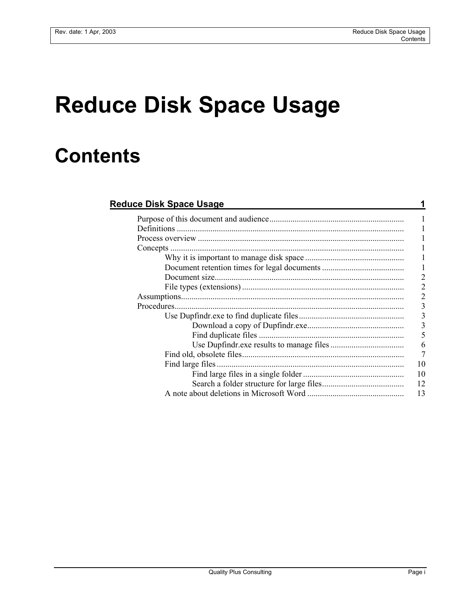## **Reduce Disk Space Usage**

## **Contents**

| <b>Reduce Disk Space Usage</b> |                |
|--------------------------------|----------------|
|                                | 1              |
|                                |                |
|                                |                |
|                                |                |
|                                | $\mathbf{l}$   |
|                                | 1              |
|                                | $\overline{2}$ |
|                                | $\overline{2}$ |
|                                | $\overline{2}$ |
|                                |                |
|                                | د<br>د د       |
|                                |                |
|                                |                |
|                                | $\frac{5}{7}$  |
|                                |                |
|                                | 1 <sup>0</sup> |
|                                | 10             |
|                                | 12             |
|                                | 13             |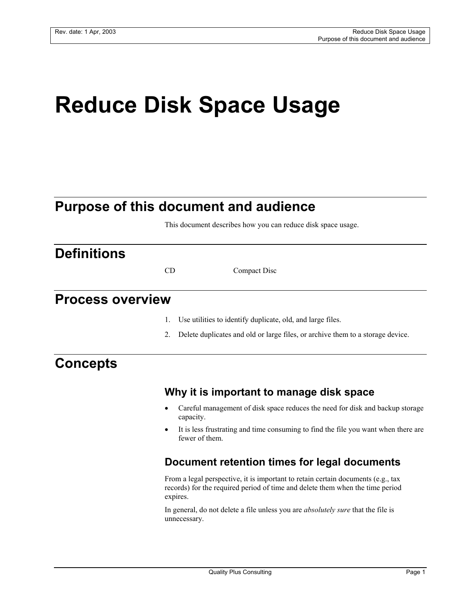# **Reduce Disk Space Usage**

## **Purpose of this document and audience**

This document describes how you can reduce disk space usage.

## **Definitions**

CD Compact Disc

## **Process overview**

- 1. Use utilities to identify duplicate, old, and large files.
- 2. Delete duplicates and old or large files, or archive them to a storage device.

## **Concepts**

#### **Why it is important to manage disk space**

- Careful management of disk space reduces the need for disk and backup storage capacity.
- It is less frustrating and time consuming to find the file you want when there are fewer of them.

#### **Document retention times for legal documents**

From a legal perspective, it is important to retain certain documents (e.g., tax records) for the required period of time and delete them when the time period expires.

In general, do not delete a file unless you are *absolutely sure* that the file is unnecessary.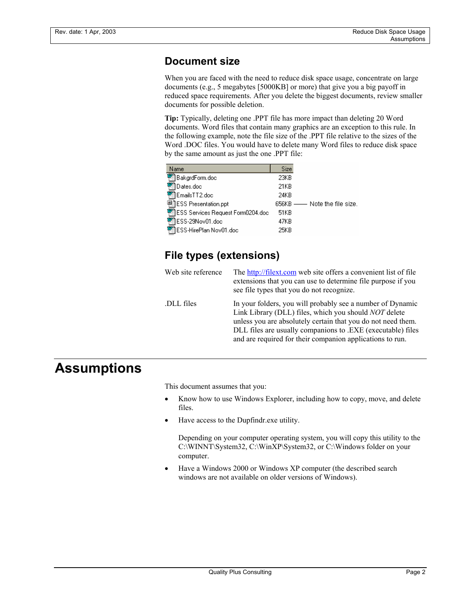### **Document size**

When you are faced with the need to reduce disk space usage, concentrate on large documents (e.g., 5 megabytes [5000KB] or more) that give you a big payoff in reduced space requirements. After you delete the biggest documents, review smaller documents for possible deletion.

**Tip:** Typically, deleting one .PPT file has more impact than deleting 20 Word documents. Word files that contain many graphics are an exception to this rule. In the following example, note the file size of the .PPT file relative to the sizes of the Word .DOC files. You would have to delete many Word files to reduce disk space by the same amount as just the one .PPT file:

| Name                                      | Size |                                |
|-------------------------------------------|------|--------------------------------|
| <sup>亚</sup> ] BakgrdForm.doc             | 23KB |                                |
| 1Dates.doc                                | 21KB |                                |
| <sup>2</sup> EmailsTT2.doc                | 24KB |                                |
| 무디ESS Presentation.ppt                    |      | 656KB ---- Note the file size. |
| <b>図ESS Services Request Form0204.doc</b> | 51KB |                                |
| 啊ESS-29Nov01.doc                          | 47KB |                                |
| <sup>ቑ</sup> 】ESS-HirePlan Nov01.doc      | 25KR |                                |

### **File types (extensions)**

| Web site reference | The http://filext.com web site offers a convenient list of file<br>extensions that you can use to determine file purpose if you<br>see file types that you do not recognize.                                                                                                                                           |
|--------------------|------------------------------------------------------------------------------------------------------------------------------------------------------------------------------------------------------------------------------------------------------------------------------------------------------------------------|
| DLL files          | In your folders, you will probably see a number of Dynamic<br>Link Library (DLL) files, which you should <i>NOT</i> delete<br>unless you are absolutely certain that you do not need them.<br>DLL files are usually companions to .EXE (executable) files<br>and are required for their companion applications to run. |

## **Assumptions**

This document assumes that you:

- Know how to use Windows Explorer, including how to copy, move, and delete files.
- Have access to the Dupfindr.exe utility.

Depending on your computer operating system, you will copy this utility to the C:\WINNT\System32, C:\WinXP\System32, or C:\Windows folder on your computer.

• Have a Windows 2000 or Windows XP computer (the described search windows are not available on older versions of Windows).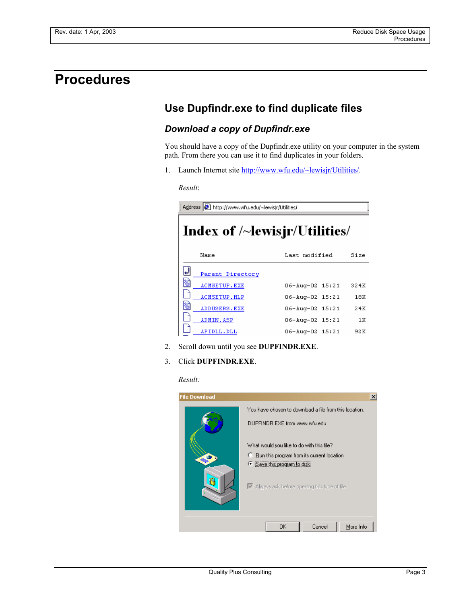## **Procedures**

## **Use Dupfindr.exe to find duplicate files**

#### *Download a copy of Dupfindr.exe*

You should have a copy of the Dupfindr.exe utility on your computer in the system path. From there you can use it to find duplicates in your folders.

1. Launch Internet site http://www.wfu.edu/~lewisjr/Utilities/.

*Result*:

Address  $\bigcirc$  http://www.wfu.edu/~lewisjr/Utilities/ Index of /~lewisjr/Utilities/ Name Last modified Size ᆁ Parent Directory 笏 ACMSETUP.EXE 06-Aug-02 15:21 324K D ACMSETUP.HLP 06-Aug-02 15:21  $18K$ 笏 ADDUSERS. EXE 06-Aug-02 15:21 24K n ADMIN.ASP 06-Aug-02 15:21  $1\,\mathrm{K}$ F APIDLL.DLL 06-Aug-02 15:21 92K

- 2. Scroll down until you see **DUPFINDR.EXE**.
- 3. Click **DUPFINDR.EXE**.

*Result:*

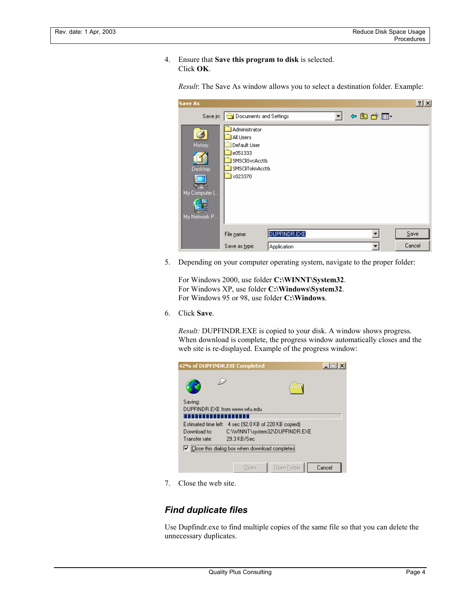4. Ensure that **Save this program to disk** is selected. Click **OK**.

| Save As                                                  |                                                                                                       |              |       | $\frac{2}{1}$ $\times$ |
|----------------------------------------------------------|-------------------------------------------------------------------------------------------------------|--------------|-------|------------------------|
|                                                          | Save in: Go Documents and Settings                                                                    |              | 中国首同・ |                        |
| G<br>History<br>Desktop<br>My Computer (<br>My Network P | Administrator<br>All Users<br>Default User<br>e051333<br>SMSCliSvcAcct&<br>SMSCliToknAcct&<br>x023370 |              |       |                        |
|                                                          | File name:                                                                                            | DUPFINDR.EXE |       | $S$ ave                |
|                                                          | Save as type:                                                                                         | Application  |       | Cancel                 |

*Result*: The Save As window allows you to select a destination folder. Example:

5. Depending on your computer operating system, navigate to the proper folder:

For Windows 2000, use folder **C:\WINNT\System32**. For Windows XP, use folder **C:\Windows\System32**. For Windows 95 or 98, use folder **C:\Windows**.

6. Click **Save**.

*Result:* DUPFINDR.EXE is copied to your disk. A window shows progress. When download is complete, the progress window automatically closes and the web site is re-displayed. Example of the progress window:

| 42% of DUPFINDR.EXE Completed                          |             |                                                                      |        |
|--------------------------------------------------------|-------------|----------------------------------------------------------------------|--------|
|                                                        |             |                                                                      |        |
| Saving:<br>DHPFINDB EXE from www.wfu.edu<br>.          |             |                                                                      |        |
| Estimated time left:<br>Download to:<br>Transfer rate: | 29.3 KB/Sec | 4 sec (92.0 KB of 220 KB copied)<br>C:\\/\INNT\system32\DUPFINDR.EXE |        |
| ○ Close this dialog box when download completes        |             |                                                                      |        |
|                                                        | Upen        | Open Eolder                                                          | Cancel |

7. Close the web site.

#### *Find duplicate files*

Use Dupfindr.exe to find multiple copies of the same file so that you can delete the unnecessary duplicates.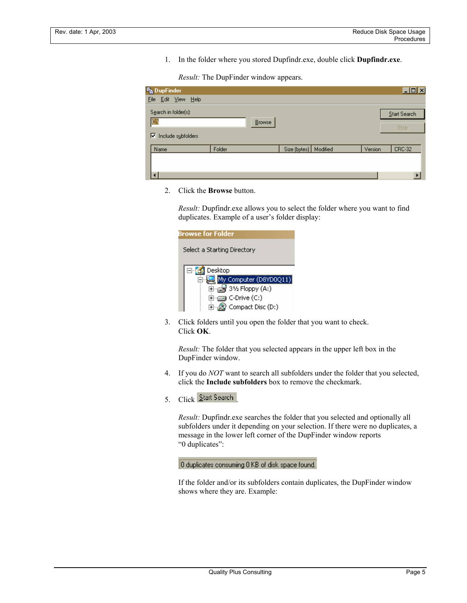1. In the folder where you stored Dupfindr.exe, double click **Dupfindr.exe**.

*Result:* The DupFinder window appears.

| <b>Pa DupFinder</b>      |        |                       |         | $\Box$ o $\times$ |
|--------------------------|--------|-----------------------|---------|-------------------|
| File Edit View Help      |        |                       |         |                   |
| Search in folder[s]:     |        |                       |         | Start Search      |
| <b>C</b>                 | Browse |                       |         | Stop              |
| Include subfolders<br> ⊽ |        |                       |         |                   |
| Name                     | Folder | Size (bytes) Modified | Version | CRC-32            |
|                          |        |                       |         |                   |
|                          |        |                       |         |                   |
|                          |        |                       |         |                   |

2. Click the **Browse** button.

*Result:* Dupfindr.exe allows you to select the folder where you want to find duplicates. Example of a user's folder display:

| Browse for Folder                           |
|---------------------------------------------|
| Select a Starting Directory                 |
|                                             |
| Desktop<br>$\Box$ $\Box$                    |
| My Computer (D8YD0Q11)                      |
| $\mathbb{H}$ $\rightarrow$ 31/2 Floppy (A:) |
| ⊡ C-Drive (C:)                              |
| Compact Disc (D:)                           |

3. Click folders until you open the folder that you want to check. Click **OK**.

*Result:* The folder that you selected appears in the upper left box in the DupFinder window.

- 4. If you do *NOT* want to search all subfolders under the folder that you selected, click the **Include subfolders** box to remove the checkmark.
- 5. Click Start Search

*Result:* Dupfindr.exe searches the folder that you selected and optionally all subfolders under it depending on your selection. If there were no duplicates, a message in the lower left corner of the DupFinder window reports "0 duplicates":

0 duplicates consuming 0 KB of disk space found.

If the folder and/or its subfolders contain duplicates, the DupFinder window shows where they are. Example: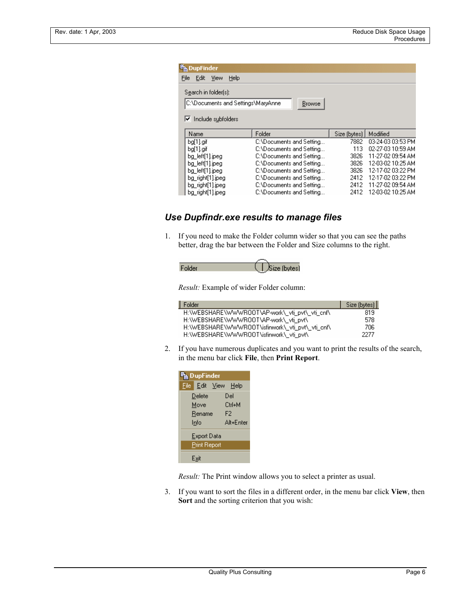|      | <b>F</b> b DupFinder                                       |                                    |                          |              |                   |
|------|------------------------------------------------------------|------------------------------------|--------------------------|--------------|-------------------|
| File | Edit<br>View                                               | Help                               |                          |              |                   |
|      | Search in folder[s]:<br>$\triangledown$ Include subfolders | C:\Documents and Settings\MaryAnne | <b>Browse</b>            |              |                   |
|      | Name                                                       | Folder                             |                          | Size (bytes) | Modified          |
|      | bg[1].gif                                                  |                                    | C:\Documents and Setting | 7882         | 03-24-03 03:53 PM |
|      | ba[1].aif                                                  |                                    | C:\Documents and Setting | 113          | 02-27-03 10:59 AM |
|      | bg_left[1].jpeg                                            |                                    | C:\Documents and Setting | 3826         | 11-27-02 09:54 AM |
|      | bg left[1].jpeg                                            |                                    | C:\Documents and Setting | 3826         | 12-03-02 10:25 AM |
|      | bg left[1].jpeg                                            |                                    | C:\Documents and Setting | 3826         | 12-17-02 03:22 PM |
|      | bg_right[1].jpeg                                           |                                    | C:\Documents and Setting | 2412         | 12-17-02 03:22 PM |
|      | bg_right[1].jpeg                                           |                                    | C:\Documents and Setting | 2412         | 11-27-02 09:54 AM |
|      | bg_right[1].jpeg                                           |                                    | C:\Documents and Setting | 2412         | 12-03-02 10:25 AM |

#### *Use Dupfindr.exe results to manage files*

1. If you need to make the Folder column wider so that you can see the paths better, drag the bar between the Folder and Size columns to the right.



*Result:* Example of wider Folder column:

| Folder                                           | Size (bytes) |
|--------------------------------------------------|--------------|
| H:\WEBSHARE\WWWR00T\AP-work\_vti_pvt\_vti_cnf\   | 819          |
| H:\WEBSHARE\\WW\R00T\AP-work\ vti pvt\           | 578          |
| H:\WEBSHARE\WWWR00T\isfinwork\ vti pvt\ vti cnf\ | 706          |
| H:\WEBSHARE\WWWR00T\isfinwork\ vti pvt\          | 2277         |

2. If you have numerous duplicates and you want to print the results of the search, in the menu bar click **File**, then **Print Report**.

| <sup>≡</sup> DupFinder |                     |
|------------------------|---------------------|
|                        | File Edit View Help |
| Delete                 | Del                 |
| Move                   | Ctrl+M              |
| Rename                 | F2                  |
| Info                   | Alt+Enter           |
| <b>Export Data</b>     |                     |
| <b>Print Report</b>    |                     |
| Exi                    |                     |

*Result:* The Print window allows you to select a printer as usual.

3. If you want to sort the files in a different order, in the menu bar click **View**, then **Sort** and the sorting criterion that you wish: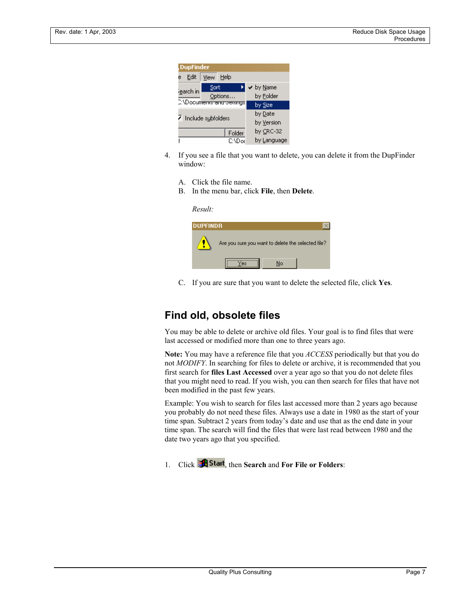

- 4. If you see a file that you want to delete, you can delete it from the DupFinder window:
	- A. Click the file name.
	- B. In the menu bar, click **File**, then **Delete**.

| Result:         |                                                    |  |
|-----------------|----------------------------------------------------|--|
| <b>DUPFINDR</b> |                                                    |  |
|                 | Are you sure you want to delete the selected file? |  |
|                 | No<br>'es                                          |  |

C. If you are sure that you want to delete the selected file, click **Yes**.

#### **Find old, obsolete files**

You may be able to delete or archive old files. Your goal is to find files that were last accessed or modified more than one to three years ago.

**Note:** You may have a reference file that you *ACCESS* periodically but that you do not *MODIFY*. In searching for files to delete or archive, it is recommended that you first search for **files Last Accessed** over a year ago so that you do not delete files that you might need to read. If you wish, you can then search for files that have not been modified in the past few years.

Example: You wish to search for files last accessed more than 2 years ago because you probably do not need these files. Always use a date in 1980 as the start of your time span. Subtract 2 years from today's date and use that as the end date in your time span. The search will find the files that were last read between 1980 and the date two years ago that you specified.

1. Click **Example 1.** Click **Example 1.** Click **Example 1.** Click **Example 2.**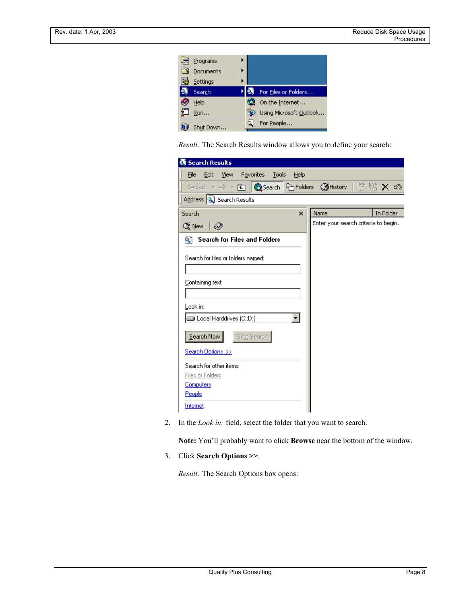| Programs  |                         |
|-----------|-------------------------|
| Documents |                         |
| Settings  |                         |
| Search    | For Files or Folders    |
| Help      | On the Internet         |
| Run       | Using Microsoft Qutlook |
| Shut Down | For People              |

*Result:* The Search Results window allows you to define your search:

| Search Results                                           |              |      |                                      |
|----------------------------------------------------------|--------------|------|--------------------------------------|
| Edit<br>View Favorites<br>Tools<br>File                  | Help         |      |                                      |
| 수Back ▼ ⇒ ▼ 包    @search   Bi Folders 《History   啓 堂 Ⅹ හ |              |      |                                      |
| Address 3 Search Results                                 |              |      |                                      |
| Search                                                   | $\mathsf{x}$ | Name | In Folder                            |
| Q≹ New<br>ຈ                                              |              |      | Enter your search criteria to begin. |
| <b>Search for Files and Folders</b><br>۰.)               |              |      |                                      |
| Search for files or folders named:                       |              |      |                                      |
|                                                          |              |      |                                      |
| Containing text:                                         |              |      |                                      |
|                                                          |              |      |                                      |
| Look in:                                                 |              |      |                                      |
| □ Local Harddrives (C:;D:)                               |              |      |                                      |
| Search Now<br>Stop Search                                |              |      |                                      |
| Search Options >>                                        |              |      |                                      |
| Search for other items:                                  |              |      |                                      |
| Files or Folders                                         |              |      |                                      |
| <b>Computers</b>                                         |              |      |                                      |
| People                                                   |              |      |                                      |
| Internet                                                 |              |      |                                      |

2. In the *Look in:* field, select the folder that you want to search.

**Note:** You'll probably want to click **Browse** near the bottom of the window.

3. Click **Search Options >>**.

*Result:* The Search Options box opens: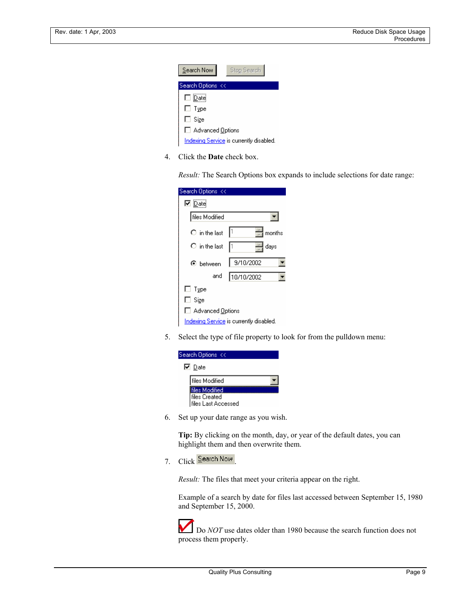

4. Click the **Date** check box.

*Result:* The Search Options box expands to include selections for date range:

| Search Options <<          |                                         |
|----------------------------|-----------------------------------------|
| $\nabla \mathcal{D}$ ate   |                                         |
| files Modified             |                                         |
| $\bigcirc$ in the last     | l1<br>months                            |
| $\bigcirc$ in the last     | I1<br>days                              |
| $\mathbf{\Theta}$ between  | 9/10/2002                               |
| and                        | 10/10/2002                              |
| $\Box$ Type                |                                         |
| □ Size                     |                                         |
| □ Advanced <u>O</u> ptions |                                         |
|                            | Indexing Service is currently disabled. |

5. Select the type of file property to look for from the pulldown menu:

| Search Options <<              |
|--------------------------------|
| $\nabla$ Date                  |
| files Modified                 |
| iles Modified<br>files Created |
| files Last Accessed            |

6. Set up your date range as you wish.

**Tip:** By clicking on the month, day, or year of the default dates, you can highlight them and then overwrite them.

7. Click Search Now

*Result:* The files that meet your criteria appear on the right.

Example of a search by date for files last accessed between September 15, 1980 and September 15, 2000.

Do *NOT* use dates older than 1980 because the search function does not process them properly.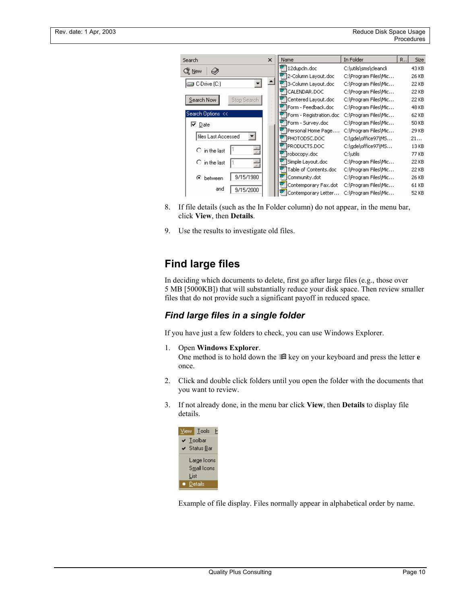| 5earch                      | $\mathsf{x}$ | Name                               | In Folder             | R., | <b>Size</b> |
|-----------------------------|--------------|------------------------------------|-----------------------|-----|-------------|
| Q≹ New<br>€                 |              | 12dupcln.doc                       | C:\utils\sms\cleancli |     | 43 KB       |
|                             |              | <sup>亚</sup> ]2-Column Layout.doc  | C:\Program Files\Mic  |     | 26 KB       |
| C-Drive (C:)                |              | 3-Column Layout.doc                | C:\Program Files\Mic  |     | 22 KB       |
|                             |              | <sup>配</sup> ICALENDAR.DOC         | C:\Program Files\Mic  |     | 22 KB       |
| Search Now<br>Stop Search   |              | <sup>亚</sup> 门Centered Layout.doc  | C:\Program Files\Mic… |     | 22 KB       |
|                             |              | PIForm - Feedback.doc              | C:\Program Files\Mic  |     | 48 KB       |
| Search Options <<           |              | Form - Registration.doc            | C:\Program Files\Mic  |     | 62 KB       |
| $\nabla$ Date               |              | P Form - Survey.doc                | C:\Program Files\Mic… |     | 50 KB       |
|                             |              | Personal Home Page                 | C:\Program Files\Mic  |     | 29 KB       |
| files Last Accessed         |              | <sup>क</sup> ीPHOTODSC.DOC         | C:\gde\office97\MS    |     | 21          |
| 즼<br>$\bigcirc$ in the last |              | P PRODUCTS.DOC                     | C:\gde\office97\MS    |     | 13 KB       |
|                             |              | Trobocopy.doc                      | C:\utils              |     | 77 KB       |
| 싂<br>$\bigcirc$ in the last |              | Simple Layout.doc                  | C:\Program Files\Mic  |     | 22 KB       |
|                             |              | <sup>亚</sup> Table of Contents.doc | C:\Program Files\Mic… |     | 22 KB       |
| 9/15/1980<br>⊙<br>between   |              | Community.dot                      | C:\Program Files\Mic… |     | 26 KB       |
| and                         |              | Ψ<br>Contemporary Fax.dot_         | C:\Program Files\Mic… |     | 61 KB       |
| 9/15/2000                   |              | Contemporary Letter                | C:\Program Files\Mic  |     | 52 KB       |

- 8. If file details (such as the In Folder column) do not appear, in the menu bar, click **View**, then **Details**.
- 9. Use the results to investigate old files.

## **Find large files**

In deciding which documents to delete, first go after large files (e.g., those over 5 MB [5000KB]) that will substantially reduce your disk space. Then review smaller files that do not provide such a significant payoff in reduced space.

#### *Find large files in a single folder*

If you have just a few folders to check, you can use Windows Explorer.

- 1. Open **Windows Explorer**. One method is to hold down the  $\mathbb{H}$  key on your keyboard and press the letter **e** once.
- 2. Click and double click folders until you open the folder with the documents that you want to review.
- 3. If not already done, in the menu bar click **View**, then **Details** to display file details.



Example of file display. Files normally appear in alphabetical order by name.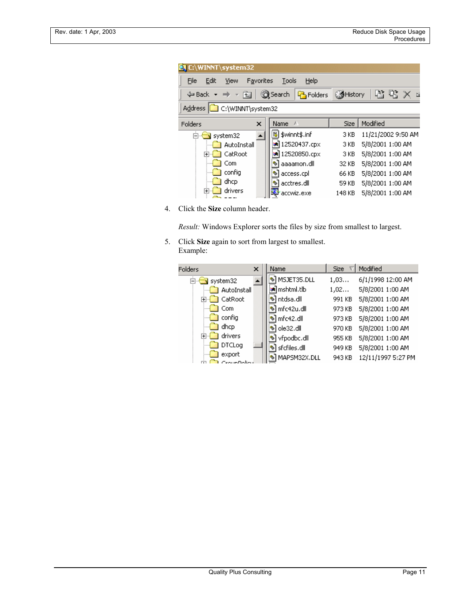| <b>DUC:\WINNT\system32</b>                                                                                         |                    |        |                    |  |  |  |
|--------------------------------------------------------------------------------------------------------------------|--------------------|--------|--------------------|--|--|--|
| File<br>Edit<br>Help<br>Favorites<br>Tools<br>View                                                                 |                    |        |                    |  |  |  |
| 啓堅X<br><b>P</b> Folders History<br><b>Q</b> Search<br>$\Leftrightarrow$ Back $\star \Rightarrow$ $\star$ for<br>一区 |                    |        |                    |  |  |  |
| C:\WINNT\system32<br><b>Address</b>                                                                                |                    |        |                    |  |  |  |
| x<br>Folders                                                                                                       | <b>Name</b><br>- 1 | Size:  | Modified           |  |  |  |
| Ė⊬<br>system32                                                                                                     | 第 \$winnt\$.inf    | 3 KB   | 11/21/2002 9:50 AM |  |  |  |
| AutoInstall                                                                                                        | an 12520437.cpx    | 3 KB   | 5/8/2001 1:00 AM   |  |  |  |
| CatRoot<br>曱                                                                                                       | a) 12520850.cpx    | 3 KB   | 5/8/2001 1:00 AM   |  |  |  |
| Com                                                                                                                | aaaamon.dll        | 32 KB  | 5/8/2001 1:00 AM   |  |  |  |
| config                                                                                                             | access.cpl         | 66 KB  | 5/8/2001 1:00 AM   |  |  |  |
| dhcp                                                                                                               | acctres.dll        | 59 KB  | 5/8/2001 1:00 AM   |  |  |  |
| drivers<br>$\overline{\mathbf{H}}$                                                                                 | accwiz.exe         | 148 KB | 5/8/2001 1:00 AM   |  |  |  |

4. Click the **Size** column header.

*Result:* Windows Explorer sorts the files by size from smallest to largest.

5. Click **Size** again to sort from largest to smallest. Example:

| Folders                                                | x | Name                     | <b>Size</b> | Modified           |
|--------------------------------------------------------|---|--------------------------|-------------|--------------------|
| system32<br>$\left[\frac{\partial}{\partial t}\right]$ |   | S MSJET35.DLL            | 1,03        | 6/1/1998 12:00 AM  |
| AutoInstall                                            |   | an mshtml.tlb            | 1,02        | 5/8/2001 1:00 AM   |
| CatRoot<br>F⊢l                                         |   | Notdsa.dll               | 991 KB      | 5/8/2001 1:00 AM   |
| l Com                                                  |   | Nnfc42u.dll              | 973 KB      | 5/8/2001 1:00 AM   |
| — <mark>…</mark> config                                |   | ঙী mfc42.dll             | 973 KB      | 5/8/2001 1:00 AM   |
| dhcp                                                   |   | ঙ] ole32.dll             | 970 KB      | 5/8/2001 1:00 AM   |
| drivers<br>Fi⊶l                                        |   | <sup>♦</sup> vfpodbc.dll | 955 KB      | 5/8/2001 1:00 AM   |
| DTCLog                                                 |   | ঙী sfcfiles.dll          | 949 KB      | 5/8/2001 1:00 AM   |
| export                                                 |   | MAPSM32X.DLL             | 943 KB      | 12/11/1997 5:27 PM |
| CrougDoller                                            |   |                          |             |                    |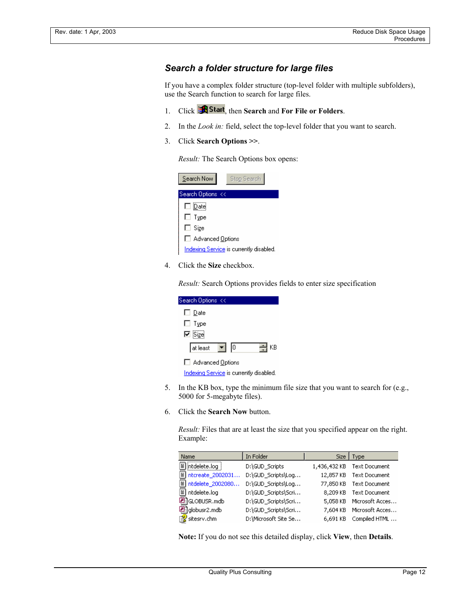#### *Search a folder structure for large files*

If you have a complex folder structure (top-level folder with multiple subfolders), use the Search function to search for large files.

- 1. Click **A** Start, then Search and For File or Folders.
- 2. In the *Look in:* field, select the top-level folder that you want to search.
- 3. Click **Search Options >>**.

*Result:* The Search Options box opens:

| Search Now         | Stop Search                             |
|--------------------|-----------------------------------------|
| Search Options <<  |                                         |
| $\square$ Date     |                                         |
| $\Box$ Type        |                                         |
| $\Box$ Size        |                                         |
| □ Advanced Options |                                         |
|                    | Indexing Service is currently disabled. |

4. Click the **Size** checkbox.

*Result:* Search Options provides fields to enter size specification

| Search Options <<                              |
|------------------------------------------------|
| $\Box$ Date                                    |
| $\Box$ Type                                    |
| $\n  D Size\n$                                 |
| ヨĸB<br>at least<br>$\mathbf{F}$   $\mathbf{0}$ |
| Advanced Options                               |
| Indexing Service is currently disabled.        |

- 5. In the KB box, type the minimum file size that you want to search for (e.g., 5000 for 5-megabyte files).
- 6. Click the **Search Now** button.

*Result:* Files that are at least the size that you specified appear on the right. Example:

| Name                   | In Folder            | Size         | Type            |
|------------------------|----------------------|--------------|-----------------|
| Ħ<br>intdelete.log     | D:\GUD_Scripts       | 1,436,432 KB | Text Document   |
| ≣⊺<br>ntcreate_2002031 | D:\GUD_Scripts\Log   | 12,857 KB    | Text Document   |
| ≣<br>ntdelete_2002080  | D:\GUD Scripts\Log   | 77,850 KB    | Text Document   |
| ≣ា<br>ntdelete.log     | D:\GUD_Scripts\Scri  | 8,209 KB     | Text Document   |
| <b>图</b> GLOBUSR.mdb   | D:\GUD_Scripts\Scri  | 5,058 KB     | Microsoft Acces |
| al globusr2.mdb        | D:\GUD_Scripts\Scri  | 7,604 KB     | Microsoft Acces |
| 图 sitesrv.chm          | D:\Microsoft Site Se | 6.691 KB     | Compiled HTML   |

**Note:** If you do not see this detailed display, click **View**, then **Details**.